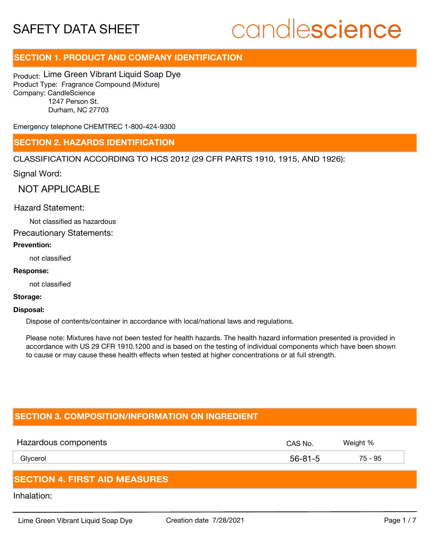# candlescience

# **SECTION 1. PRODUCT AND COMPANY IDENTIFICATION**

Product: Lime Green Vibrant Liquid Soap Dye Product Type: Fragrance Compound (Mixture) Company: CandleScience 1247 Person St. Durham, NC 27703

Emergency telephone CHEMTREC 1-800-424-9300

## **SECTION 2. HAZARDS IDENTIFICATION**

CLASSIFICATION ACCORDING TO HCS 2012 (29 CFR PARTS 1910, 1915, AND 1926):

Signal Word:

NOT APPLICABLE

#### Hazard Statement:

Not classified as hazardous

Precautionary Statements:

#### **Prevention:**

not classified

#### **Response:**

not classified

#### **Storage:**

#### **Disposal:**

Dispose of contents/container in accordance with local/national laws and regulations.

Please note: Mixtures have not been tested for health hazards. The health hazard information presented is provided in accordance with US 29 CFR 1910.1200 and is based on the testing of individual components which have been shown to cause or may cause these health effects when tested at higher concentrations or at full strength.

# **SECTION 3. COMPOSITION/INFORMATION ON INGREDIENT**

| Hazardous components | CAS No.       | Weight % |
|----------------------|---------------|----------|
| Glycerol             | $56 - 81 - 5$ | 75 - 95  |
|                      |               |          |

## **SECTION 4. FIRST AID MEASURES**

Inhalation: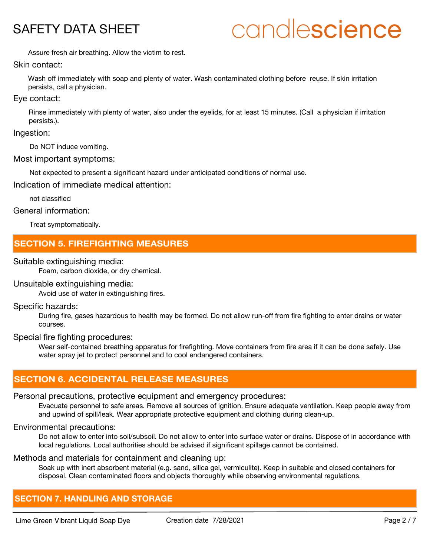# candlescience

Assure fresh air breathing. Allow the victim to rest.

#### Skin contact:

Wash off immediately with soap and plenty of water. Wash contaminated clothing before reuse. If skin irritation persists, call a physician.

#### Eye contact:

Rinse immediately with plenty of water, also under the eyelids, for at least 15 minutes. (Call a physician if irritation persists.).

#### Ingestion:

Do NOT induce vomiting.

#### Most important symptoms:

Not expected to present a significant hazard under anticipated conditions of normal use.

Indication of immediate medical attention:

not classified

#### General information:

Treat symptomatically.

# **SECTION 5. FIREFIGHTING MEASURES**

#### Suitable extinguishing media:

Foam, carbon dioxide, or dry chemical.

#### Unsuitable extinguishing media:

Avoid use of water in extinguishing fires.

#### Specific hazards:

During fire, gases hazardous to health may be formed. Do not allow run-off from fire fighting to enter drains or water courses.

#### Special fire fighting procedures:

Wear self-contained breathing apparatus for firefighting. Move containers from fire area if it can be done safely. Use water spray jet to protect personnel and to cool endangered containers.

# **SECTION 6. ACCIDENTAL RELEASE MEASURES**

## Personal precautions, protective equipment and emergency procedures:

Evacuate personnel to safe areas. Remove all sources of ignition. Ensure adequate ventilation. Keep people away from and upwind of spill/leak. Wear appropriate protective equipment and clothing during clean-up.

## Environmental precautions:

Do not allow to enter into soil/subsoil. Do not allow to enter into surface water or drains. Dispose of in accordance with local regulations. Local authorities should be advised if significant spillage cannot be contained.

# Methods and materials for containment and cleaning up:

Soak up with inert absorbent material (e.g. sand, silica gel, vermiculite). Keep in suitable and closed containers for disposal. Clean contaminated floors and objects thoroughly while observing environmental regulations.

# **SECTION 7. HANDLING AND STORAGE**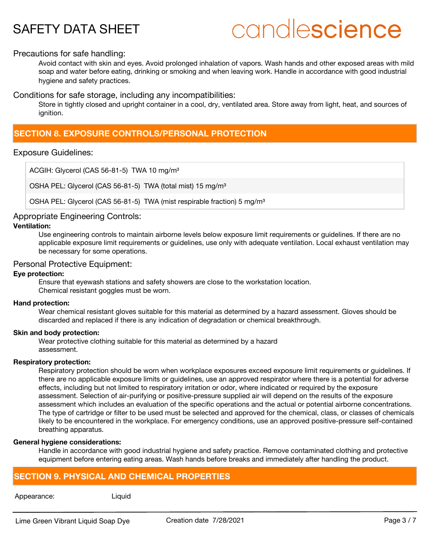# candlescience

#### Precautions for safe handling:

Avoid contact with skin and eyes. Avoid prolonged inhalation of vapors. Wash hands and other exposed areas with mild soap and water before eating, drinking or smoking and when leaving work. Handle in accordance with good industrial hygiene and safety practices.

Conditions for safe storage, including any incompatibilities:

Store in tightly closed and upright container in a cool, dry, ventilated area. Store away from light, heat, and sources of ignition.

# **SECTION 8. EXPOSURE CONTROLS/PERSONAL PROTECTION**

#### Exposure Guidelines:

ACGIH: Glycerol (CAS 56-81-5) TWA 10 mg/m<sup>3</sup>

OSHA PEL: Glycerol (CAS 56-81-5) TWA (total mist) 15 mg/m<sup>3</sup>

OSHA PEL: Glycerol (CAS 56-81-5) TWA (mist respirable fraction) 5 mg/m<sup>3</sup>

## Appropriate Engineering Controls:

#### **Ventilation:**

Use engineering controls to maintain airborne levels below exposure limit requirements or guidelines. If there are no applicable exposure limit requirements or guidelines, use only with adequate ventilation. Local exhaust ventilation may be necessary for some operations.

#### Personal Protective Equipment:

#### **Eye protection:**

Ensure that eyewash stations and safety showers are close to the workstation location. Chemical resistant goggles must be worn.

#### **Hand protection:**

Wear chemical resistant gloves suitable for this material as determined by a hazard assessment. Gloves should be discarded and replaced if there is any indication of degradation or chemical breakthrough.

#### **Skin and body protection:**

Wear protective clothing suitable for this material as determined by a hazard assessment.

#### **Respiratory protection:**

Respiratory protection should be worn when workplace exposures exceed exposure limit requirements or guidelines. If there are no applicable exposure limits or guidelines, use an approved respirator where there is a potential for adverse effects, including but not limited to respiratory irritation or odor, where indicated or required by the exposure assessment. Selection of air-purifying or positive-pressure supplied air will depend on the results of the exposure assessment which includes an evaluation of the specific operations and the actual or potential airborne concentrations. The type of cartridge or filter to be used must be selected and approved for the chemical, class, or classes of chemicals likely to be encountered in the workplace. For emergency conditions, use an approved positive-pressure self-contained breathing apparatus.

#### **General hygiene considerations:**

Handle in accordance with good industrial hygiene and safety practice. Remove contaminated clothing and protective equipment before entering eating areas. Wash hands before breaks and immediately after handling the product.

# **SECTION 9. PHYSICAL AND CHEMICAL PROPERTIES**

#### Appearance: Liquid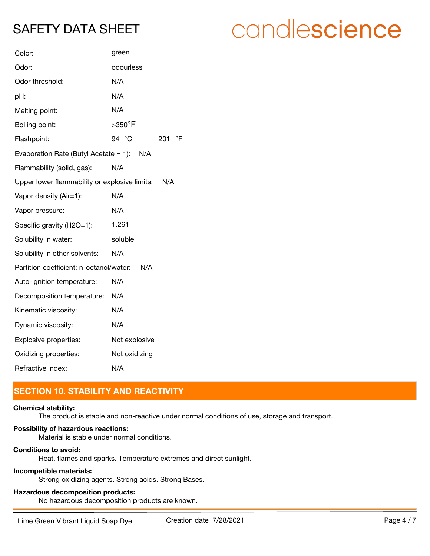| Color:                                        | green              |  |
|-----------------------------------------------|--------------------|--|
| Odor:                                         | odourless          |  |
| Odor threshold:                               | N/A                |  |
| pH:                                           | N/A                |  |
| Melting point:                                | N/A                |  |
| Boiling point:                                | $>350^\circ$ F     |  |
| Flashpoint:                                   | 94 °C<br>°F<br>201 |  |
| Evaporation Rate (Butyl Acetate = 1): $N/A$   |                    |  |
| Flammability (solid, gas):                    | N/A                |  |
| Upper lower flammability or explosive limits: | N/A                |  |
| Vapor density (Air=1):                        | N/A                |  |
| Vapor pressure:                               | N/A                |  |
| Specific gravity (H2O=1):                     | 1.261              |  |
| Solubility in water:                          | soluble            |  |
| Solubility in other solvents:                 | N/A                |  |
| Partition coefficient: n-octanol/water:       | N/A                |  |
| Auto-ignition temperature:                    | N/A                |  |
| Decomposition temperature:                    | N/A                |  |
| Kinematic viscosity:                          | N/A                |  |
| Dynamic viscosity:                            | N/A                |  |
| Explosive properties:                         | Not explosive      |  |
| Oxidizing properties:                         | Not oxidizing      |  |
| Refractive index:                             | N/A                |  |

# **SECTION 10. STABILITY AND REACTIVITY**

## **Chemical stability:**

The product is stable and non-reactive under normal conditions of use, storage and transport.

# **Possibility of hazardous reactions:**

Material is stable under normal conditions.

## **Conditions to avoid:**

Heat, flames and sparks. Temperature extremes and direct sunlight.

## **Incompatible materials:**

Strong oxidizing agents. Strong acids. Strong Bases.

# **Hazardous decomposition products:**

No hazardous decomposition products are known.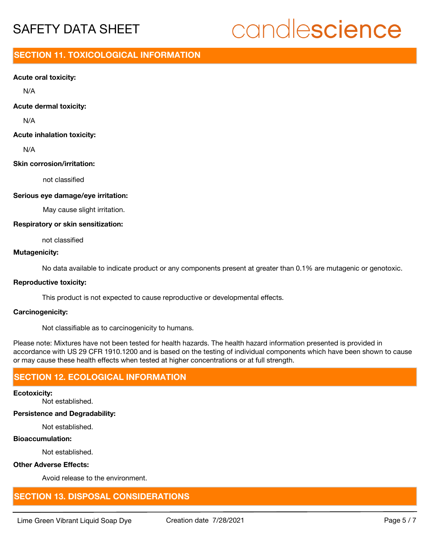# candlescience

# **SECTION 11. TOXICOLOGICAL INFORMATION**

#### **Acute oral toxicity:**

N/A

#### **Acute dermal toxicity:**

N/A

#### **Acute inhalation toxicity:**

N/A

## **Skin corrosion/irritation:**

not classified

#### **Serious eye damage/eye irritation:**

May cause slight irritation.

#### **Respiratory or skin sensitization:**

not classified

#### **Mutagenicity:**

No data available to indicate product or any components present at greater than 0.1% are mutagenic or genotoxic.

#### **Reproductive toxicity:**

This product is not expected to cause reproductive or developmental effects.

#### **Carcinogenicity:**

Not classifiable as to carcinogenicity to humans.

Please note: Mixtures have not been tested for health hazards. The health hazard information presented is provided in accordance with US 29 CFR 1910.1200 and is based on the testing of individual components which have been shown to cause or may cause these health effects when tested at higher concentrations or at full strength.

# **SECTION 12. ECOLOGICAL INFORMATION**

#### **Ecotoxicity:**

Not established.

#### **Persistence and Degradability:**

Not established.

#### **Bioaccumulation:**

Not established.

#### **Other Adverse Effects:**

Avoid release to the environment.

# **SECTION 13. DISPOSAL CONSIDERATIONS**